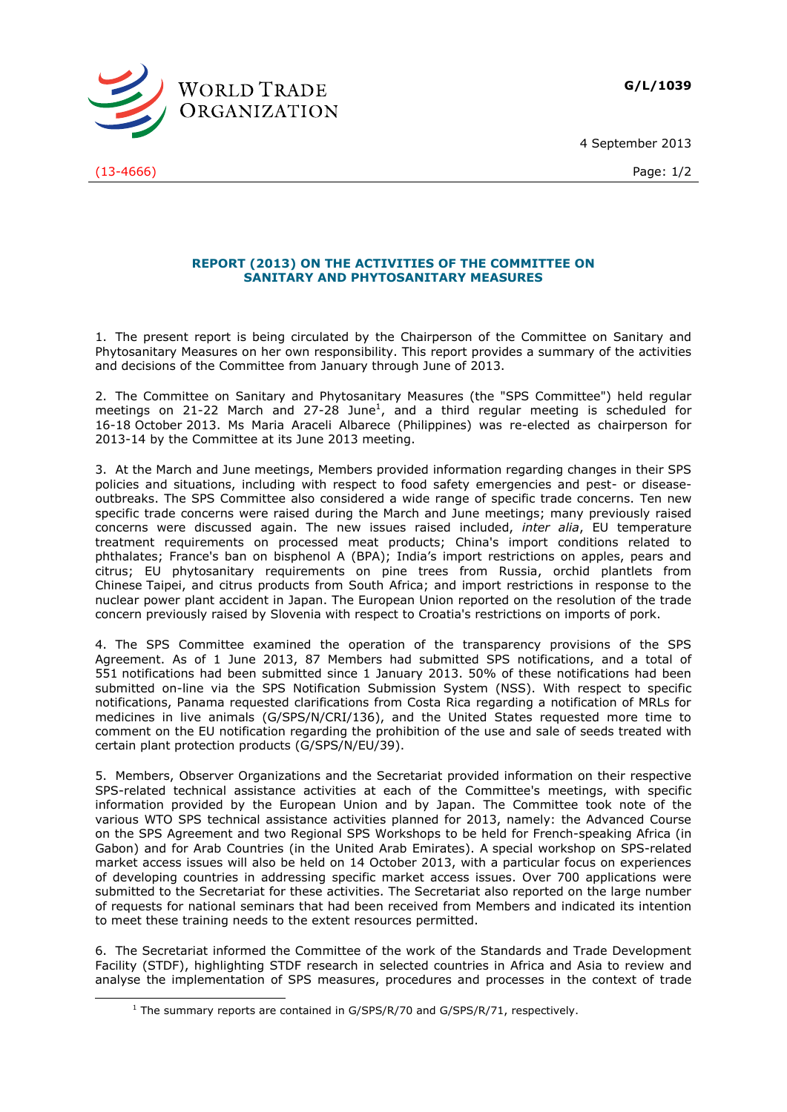**G/L/1039**





(13-4666) Page: 1/2

-

## **REPORT (2013) ON THE ACTIVITIES OF THE COMMITTEE ON SANITARY AND PHYTOSANITARY MEASURES**

1. The present report is being circulated by the Chairperson of the Committee on Sanitary and Phytosanitary Measures on her own responsibility. This report provides a summary of the activities and decisions of the Committee from January through June of 2013.

2. The Committee on Sanitary and Phytosanitary Measures (the "SPS Committee") held regular meetings on 21-22 March and 27-28 June<sup>1</sup>, and a third regular meeting is scheduled for 16-18 October 2013. Ms Maria Araceli Albarece (Philippines) was re-elected as chairperson for 2013-14 by the Committee at its June 2013 meeting.

3. At the March and June meetings, Members provided information regarding changes in their SPS policies and situations, including with respect to food safety emergencies and pest- or diseaseoutbreaks. The SPS Committee also considered a wide range of specific trade concerns. Ten new specific trade concerns were raised during the March and June meetings; many previously raised concerns were discussed again. The new issues raised included, *inter alia*, EU temperature treatment requirements on processed meat products; China's import conditions related to phthalates; France's ban on bisphenol A (BPA); India's import restrictions on apples, pears and citrus; EU phytosanitary requirements on pine trees from Russia, orchid plantlets from Chinese Taipei, and citrus products from South Africa; and import restrictions in response to the nuclear power plant accident in Japan. The European Union reported on the resolution of the trade concern previously raised by Slovenia with respect to Croatia's restrictions on imports of pork.

4. The SPS Committee examined the operation of the transparency provisions of the SPS Agreement. As of 1 June 2013, 87 Members had submitted SPS notifications, and a total of 551 notifications had been submitted since 1 January 2013. 50% of these notifications had been submitted on-line via the SPS Notification Submission System (NSS). With respect to specific notifications, Panama requested clarifications from Costa Rica regarding a notification of MRLs for medicines in live animals (G/SPS/N/CRI/136), and the United States requested more time to comment on the EU notification regarding the prohibition of the use and sale of seeds treated with certain plant protection products (G/SPS/N/EU/39).

5. Members, Observer Organizations and the Secretariat provided information on their respective SPS-related technical assistance activities at each of the Committee's meetings, with specific information provided by the European Union and by Japan. The Committee took note of the various WTO SPS technical assistance activities planned for 2013, namely: the Advanced Course on the SPS Agreement and two Regional SPS Workshops to be held for French-speaking Africa (in Gabon) and for Arab Countries (in the United Arab Emirates). A special workshop on SPS-related market access issues will also be held on 14 October 2013, with a particular focus on experiences of developing countries in addressing specific market access issues. Over 700 applications were submitted to the Secretariat for these activities. The Secretariat also reported on the large number of requests for national seminars that had been received from Members and indicated its intention to meet these training needs to the extent resources permitted.

6. The Secretariat informed the Committee of the work of the Standards and Trade Development Facility (STDF), highlighting STDF research in selected countries in Africa and Asia to review and analyse the implementation of SPS measures, procedures and processes in the context of trade

<sup>&</sup>lt;sup>1</sup> The summary reports are contained in  $G/SPS/R/70$  and  $G/SPS/R/71$ , respectively.